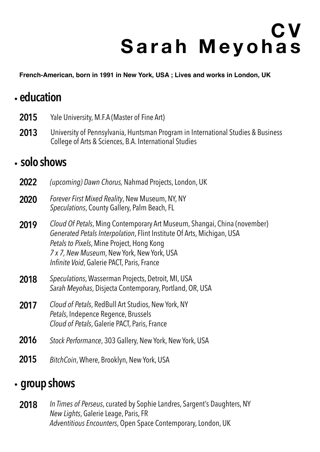# **C V Sarah Meyohas**

**French-American, born in 1991 in New York, USA ; Lives and works in London, UK**

### .**education**

- **2015** Yale University, M.F.A (Master of Fine Art)
- **2013** University of Pennsylvania, Huntsman Program in International Studies & Business College of Arts & Sciences, B.A. International Studies

#### .**solo shows**

- **2022** *(upcoming) Dawn Chorus,* Nahmad Projects, London, UK
- **2020** *Forever First Mixed Reality*, New Museum, NY, NY *Speculations*, County Gallery, Palm Beach, FL
- **2019** *Cloud Of Petals*, Ming Contemporary Art Museum, Shangai, China (november) *Generated Petals Interpolation*, Flint Institute Of Arts, Michigan, USA *Petals to Pixels*, Mine Project, Hong Kong *7 x 7, New Museum*, New York, New York, USA *Infinite Void*, Galerie PACT, Paris, France
- **2018** *Speculations*, Wasserman Projects, Detroit, MI, USA *Sarah Meyohas*, Disjecta Contemporary, Portland, OR, USA
- **2017** *Cloud of Petals*, RedBull Art Studios, New York, NY *Petals*, Indepence Regence, Brussels *Cloud of Petals*, Galerie PACT, Paris, France
- **2016** *Stock Performance*, 303 Gallery, New York, New York, USA
- **2015** *BitchCoin*, Where, Brooklyn, New York, USA

#### . **group shows**

**2018** *In Times of Perseus*, curated by Sophie Landres, Sargent's Daughters, NY *New Lights*, Galerie Leage, Paris, FR *Adventitious Encounters*, Open Space Contemporary, London, UK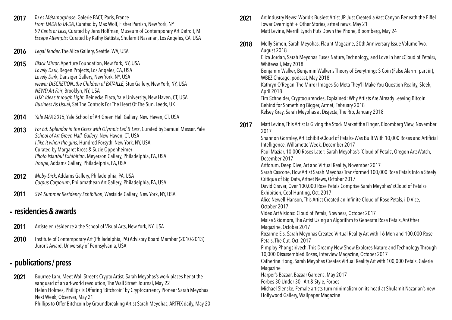**2012** *Moby-Dick*, Addams Gallery, Philadelphia, PA, USA *Corpus Corporum*, Philomathean Art Gallery, Philadelphia, PA, USA **2011** *SVA Summer Residency Exhibition*, Westside Gallery, New York, NY, USA **2013** *For Ed: Splendor in the Grass with Olympic Lad & Lass*, Curated by Samuel Messer, Yale *School of Art Green Hall Gallery*, New Haven, CT, USA *I like it when the girls*, Hundred Forsyth, New York, NY, USA Curated by Margaret Kross & Suzie Oppenheimer *Photo Istanbul Exhibition*, Meyerson Gallery, Philadelphia, PA, USA *Troupe*, Addams Gallery, Philadelphia, PA, USA **2014** *Yale MFA 2015*, Yale School of Art Green Hall Gallery, New Haven, CT, USA **2017** *Tu es Métamorphose*, Galerie PACT, Paris, France *From DADA to TA-DA*, Curated by Max Wolf, Fisher Parrish, New York, NY *99 Cents or Less*, Curated by Jens Hoffman, Museum of Contemporary Art Detroit, MI *Escape Attempts*: Curated by Kathy Battista, Shulamit Nazarian, Los Angeles, CA, USA **2016** *Legal Tender*, The Alice Gallery, Seattle, WA, USA **2015** *Black Mirror*, Aperture Foundation, New York, NY, USA *Lovely Dark*, Regen Projects, Los Angeles, CA, USA *Lovely Dar*k, Danziger Gallery, New York, NY, USA *viewer DISCRETION..the Children of BATAILLE*, Stux Gallery, New York, NY, USA *NEWD Art Fair*, Brooklyn, NY, USA *LUX: Ideas through Light*, Beinecke Plaza, Yale University, New Haven, CT, USA *Business As Usual*, Set The Controls For The Heart Of The Sun, Leeds, UK

- Artiste en résidence à the School of Visual Arts, New York, NY, USA **2011**
- Institute of Contemporary Art (Philadelphia, PA) Advisory Board Member (2010-2013) Juror's Award, University of Pennsylvania, USA **2010**

[Tower Overnight + Other Stories, artnet news, May 21](https://news.artnet.com/art-world/art-industry-news-may-21-2021-1971609) [Matt Levine, Merrill Lynch Puts Down the Phone, Bloomberg, May 24](https://www.bloomberg.com/opinion/articles/2021-05-24/merrill-lynch-puts-down-the-phone) **2021**

## . **residencies & awards**

[Molly Simon, Sarah Meyohas, Flaunt Magazine, 20th Anniversary Issue Volume Two,](https://flaunt.com/content/sarah-meyohas)  [August 2018](https://flaunt.com/content/sarah-meyohas)  [Eliza Jordan, Sarah Meyohas Fuses Nature, Technology, and Love in her «Cloud of Petals»,](https://whitewall.art/art/sarah-meyohas-amalgamates-nature-technology-cloud-petals)  [Whitewall, May 2018](https://whitewall.art/art/sarah-meyohas-amalgamates-nature-technology-cloud-petals) [Benjamin Walker, Benjamin Walker's Theory of Everything: S Coin \(False Alarm! part iii\),](https://www.wbez.org/stories/s-coin-false-alarm-part-iii/8d15ed56-3d70-446b-822d-2ee0b4f9da45)  [WBEZ Chicago, podcast, May 2018](https://www.wbez.org/stories/s-coin-false-alarm-part-iii/8d15ed56-3d70-446b-822d-2ee0b4f9da45) [Kathryn O'Regan, The Mirror Images So Meta They'll Make You Question Reality, Sleek,](https://www.sleek-mag.com/article/sarah-meyohas/)  [April 2018](https://www.sleek-mag.com/article/sarah-meyohas/) [Tim Schneider, Cryptocurrencies, Explained: Why Artists Are Already Leaving Bitcoin](https://news.artnet.com/art-world/cryptocurrencies-artwork-explainer-part-two-1215707)  [Behind for Something Bigger, Artnet, February 2018](https://news.artnet.com/art-world/cryptocurrencies-artwork-explainer-part-two-1215707) [Kelsey Gray, Sarah Meyohas at Disjecta, The Rib, January 2018](http://the-rib.net/project/sarah-meyohas-at-disjecta) **2018**

## . **publications / press**

[Art Industry News: World's Busiest Artist JR Just Created a Vast Canyon Beneath the Eiffel](https://news.artnet.com/art-world/art-industry-news-may-21-2021-1971609) 

[Bourree Lam, Meet Wall Street's Crypto Artist, Sarah Meyohas's work places her at the](https://www.wsj.com/articles/meet-wall-streets-crypto-artist-11621675805)  [vanguard of an art-world revolution, The Wall Street Journal, May 22](https://www.wsj.com/articles/meet-wall-streets-crypto-artist-11621675805) [Helen Holmes, Phillips is Offering 'Bitchcoin' by Cryptocurrency Pioneer Sarah Meyohas](https://observer.com/2021/05/phillips-cryptocurrency-bitchcoin-sarah-meyohas/)  [Next Week, Observer, May 21](https://observer.com/2021/05/phillips-cryptocurrency-bitchcoin-sarah-meyohas/) [Phillips to Offer Bitchcoin by Groundbreaking Artist Sarah Meyohas, ARTFIX daily, May 20](https://www.artfixdaily.com/artwire/release/4913-phillips-to-offer-bitchcoin-by-groundbreaking-artist-sarah-meyoha)  **2021**

[Matt Levine, This Artist Is Giving the Stock Market the Finger, Bloomberg View, November](https://www.wallpaper.com/art/shulamit-nazarian-gallery-opens-in-hollywood-escape-attempts) 

[Shannon Gormley, Art Exhibit «Cloud of Petals» Was Built With 10,000 Roses and Artificial](https://www.wallpaper.com/art/shulamit-nazarian-gallery-opens-in-hollywood-escape-attempts)  [Intelligence, Willamette Week, December 2017](https://www.wallpaper.com/art/shulamit-nazarian-gallery-opens-in-hollywood-escape-attempts) [Paul Maziar, 10,000 Roses Later: Sarah Meyohas's 'Cloud of Petals', Oregon ArtsWatch,](https://www.wallpaper.com/art/shulamit-nazarian-gallery-opens-in-hollywood-escape-attempts)  [December 2017](https://www.wallpaper.com/art/shulamit-nazarian-gallery-opens-in-hollywood-escape-attempts)

[Artforum, Deep Dive, Art and Virtual Reality, November 2017](https://www.wallpaper.com/art/shulamit-nazarian-gallery-opens-in-hollywood-escape-attempts) [Sarah Cascone, How Artist Sarah Meyohas Transformed 100,000 Rose Petals Into a Steely](https://www.wallpaper.com/art/shulamit-nazarian-gallery-opens-in-hollywood-escape-attempts)  [Critique of Big Data, Artnet News, October 2017](https://www.wallpaper.com/art/shulamit-nazarian-gallery-opens-in-hollywood-escape-attempts) [David Graver, Over 100,000 Rose Petals Comprise Sarah Meyohas' «Cloud of Petals»](https://www.wallpaper.com/art/shulamit-nazarian-gallery-opens-in-hollywood-escape-attempts)  [Exhibition, Cool Hunting, Oct. 2017](https://www.wallpaper.com/art/shulamit-nazarian-gallery-opens-in-hollywood-escape-attempts) [Alice Newell-Hanson, This Artist Created an Infinite Cloud of Rose Petals, i-D Vice,](https://www.wallpaper.com/art/shulamit-nazarian-gallery-opens-in-hollywood-escape-attempts)  [October 2017](https://www.wallpaper.com/art/shulamit-nazarian-gallery-opens-in-hollywood-escape-attempts)

[2017](https://www.wallpaper.com/art/shulamit-nazarian-gallery-opens-in-hollywood-escape-attempts) **2017**

> [Video Art Visions: Cloud of Petals, Nowness, October 2017](https://www.wallpaper.com/art/shulamit-nazarian-gallery-opens-in-hollywood-escape-attempts) [Maise Skidmore, The Artist Using an Algorithm to Generate Rose Petals, AnOther](https://www.wallpaper.com/art/shulamit-nazarian-gallery-opens-in-hollywood-escape-attempts)  [Magazine, October 2017](https://www.wallpaper.com/art/shulamit-nazarian-gallery-opens-in-hollywood-escape-attempts)

[Rozanne Els, Sarah Meyohas Created Virtual Reality Art with 16 Men and 100,000 Rose](https://www.wallpaper.com/art/shulamit-nazarian-gallery-opens-in-hollywood-escape-attempts)  [Petals, The Cut, Oct. 2017](https://www.wallpaper.com/art/shulamit-nazarian-gallery-opens-in-hollywood-escape-attempts)

[Pimploy Phongsirivech, This Dreamy New Show Explores Nature and Technology Through](https://www.wallpaper.com/art/shulamit-nazarian-gallery-opens-in-hollywood-escape-attempts)  [10,000 Disassembled Roses, Interview Magazine, October 2017](https://www.wallpaper.com/art/shulamit-nazarian-gallery-opens-in-hollywood-escape-attempts) [Catherine Hong, Sarah Meyohas Creates Virtual Reality Art with 100,000 Petals, Galerie](https://www.wallpaper.com/art/shulamit-nazarian-gallery-opens-in-hollywood-escape-attempts)  [Magazine](https://www.wallpaper.com/art/shulamit-nazarian-gallery-opens-in-hollywood-escape-attempts)

[Harper's Bazaar, Bazaar Gardens, May 2017](https://www.wallpaper.com/art/shulamit-nazarian-gallery-opens-in-hollywood-escape-attempts) [Forbes 30 Under 30 - Art & Style, Forbes](https://www.wallpaper.com/art/shulamit-nazarian-gallery-opens-in-hollywood-escape-attempts) [Michael Slenske, Female artists turn minimalism on its head at Shulamit Nazarian's new](https://www.wallpaper.com/art/shulamit-nazarian-gallery-opens-in-hollywood-escape-attempts)  [Hollywood Gallery, Wallpaper Magazine](https://www.wallpaper.com/art/shulamit-nazarian-gallery-opens-in-hollywood-escape-attempts)